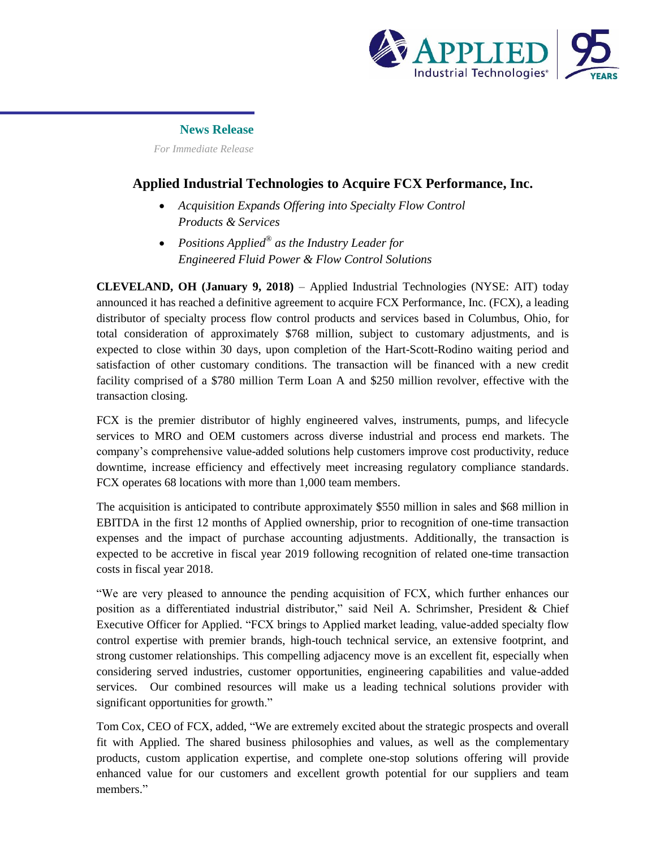

## **News Release**

 *For Immediate Release*

# **Applied Industrial Technologies to Acquire FCX Performance, Inc.**

- *Acquisition Expands Offering into Specialty Flow Control Products & Services*
- *Positions Applied® as the Industry Leader for Engineered Fluid Power & Flow Control Solutions*

**CLEVELAND, OH (January 9, 2018)** – Applied Industrial Technologies (NYSE: AIT) today announced it has reached a definitive agreement to acquire FCX Performance, Inc. (FCX), a leading distributor of specialty process flow control products and services based in Columbus, Ohio, for total consideration of approximately \$768 million, subject to customary adjustments, and is expected to close within 30 days, upon completion of the Hart-Scott-Rodino waiting period and satisfaction of other customary conditions. The transaction will be financed with a new credit facility comprised of a \$780 million Term Loan A and \$250 million revolver, effective with the transaction closing.

FCX is the premier distributor of highly engineered valves, instruments, pumps, and lifecycle services to MRO and OEM customers across diverse industrial and process end markets. The company's comprehensive value-added solutions help customers improve cost productivity, reduce downtime, increase efficiency and effectively meet increasing regulatory compliance standards. FCX operates 68 locations with more than 1,000 team members.

The acquisition is anticipated to contribute approximately \$550 million in sales and \$68 million in EBITDA in the first 12 months of Applied ownership, prior to recognition of one-time transaction expenses and the impact of purchase accounting adjustments. Additionally, the transaction is expected to be accretive in fiscal year 2019 following recognition of related one-time transaction costs in fiscal year 2018.

"We are very pleased to announce the pending acquisition of FCX, which further enhances our position as a differentiated industrial distributor," said Neil A. Schrimsher, President & Chief Executive Officer for Applied. "FCX brings to Applied market leading, value-added specialty flow control expertise with premier brands, high-touch technical service, an extensive footprint, and strong customer relationships. This compelling adjacency move is an excellent fit, especially when considering served industries, customer opportunities, engineering capabilities and value-added services. Our combined resources will make us a leading technical solutions provider with significant opportunities for growth."

Tom Cox, CEO of FCX, added, "We are extremely excited about the strategic prospects and overall fit with Applied. The shared business philosophies and values, as well as the complementary products, custom application expertise, and complete one-stop solutions offering will provide enhanced value for our customers and excellent growth potential for our suppliers and team members."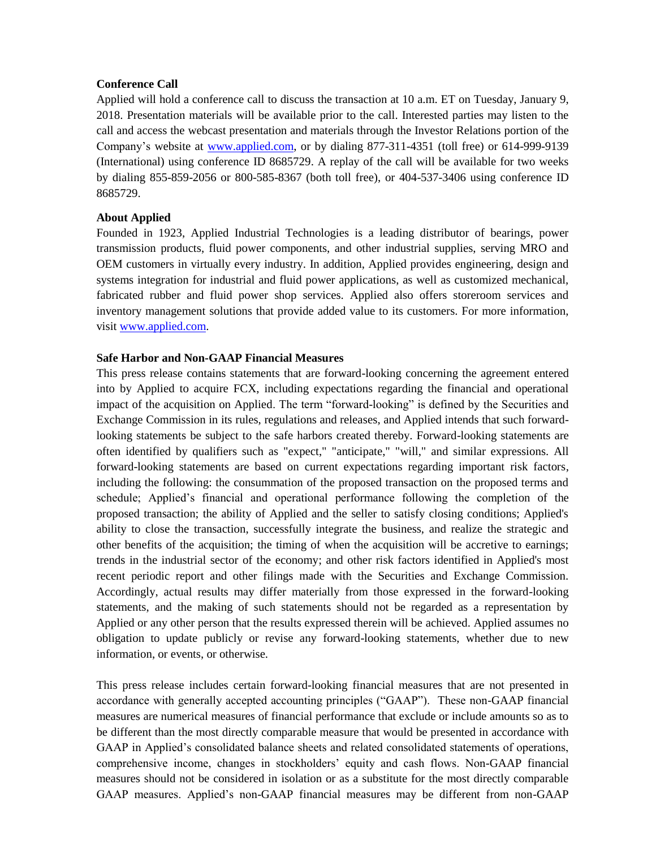## **Conference Call**

Applied will hold a conference call to discuss the transaction at 10 a.m. ET on Tuesday, January 9, 2018. Presentation materials will be available prior to the call. Interested parties may listen to the call and access the webcast presentation and materials through the Investor Relations portion of the Company's website at [www.applied.com,](http://www.applied.com/) or by dialing 877-311-4351 (toll free) or 614-999-9139 (International) using conference ID 8685729. A replay of the call will be available for two weeks by dialing 855-859-2056 or 800-585-8367 (both toll free), or 404-537-3406 using conference ID 8685729.

## **About Applied**

Founded in 1923, Applied Industrial Technologies is a leading distributor of bearings, power transmission products, fluid power components, and other industrial supplies, serving MRO and OEM customers in virtually every industry. In addition, Applied provides engineering, design and systems integration for industrial and fluid power applications, as well as customized mechanical, fabricated rubber and fluid power shop services. Applied also offers storeroom services and inventory management solutions that provide added value to its customers. For more information, visi[t www.applied.com.](http://www.applied.com/)

### **Safe Harbor and Non-GAAP Financial Measures**

This press release contains statements that are forward-looking concerning the agreement entered into by Applied to acquire FCX, including expectations regarding the financial and operational impact of the acquisition on Applied. The term "forward-looking" is defined by the Securities and Exchange Commission in its rules, regulations and releases, and Applied intends that such forwardlooking statements be subject to the safe harbors created thereby. Forward-looking statements are often identified by qualifiers such as "expect," "anticipate," "will," and similar expressions. All forward-looking statements are based on current expectations regarding important risk factors, including the following: the consummation of the proposed transaction on the proposed terms and schedule; Applied's financial and operational performance following the completion of the proposed transaction; the ability of Applied and the seller to satisfy closing conditions; Applied's ability to close the transaction, successfully integrate the business, and realize the strategic and other benefits of the acquisition; the timing of when the acquisition will be accretive to earnings; trends in the industrial sector of the economy; and other risk factors identified in Applied's most recent periodic report and other filings made with the Securities and Exchange Commission. Accordingly, actual results may differ materially from those expressed in the forward-looking statements, and the making of such statements should not be regarded as a representation by Applied or any other person that the results expressed therein will be achieved. Applied assumes no obligation to update publicly or revise any forward-looking statements, whether due to new information, or events, or otherwise.

This press release includes certain forward-looking financial measures that are not presented in accordance with generally accepted accounting principles ("GAAP"). These non-GAAP financial measures are numerical measures of financial performance that exclude or include amounts so as to be different than the most directly comparable measure that would be presented in accordance with GAAP in Applied's consolidated balance sheets and related consolidated statements of operations, comprehensive income, changes in stockholders' equity and cash flows. Non-GAAP financial measures should not be considered in isolation or as a substitute for the most directly comparable GAAP measures. Applied's non-GAAP financial measures may be different from non-GAAP